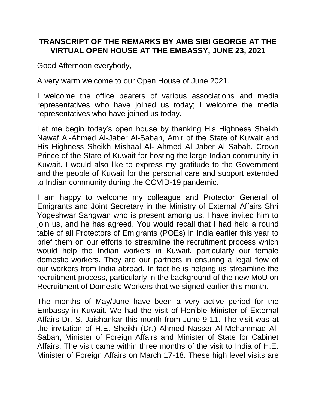## **TRANSCRIPT OF THE REMARKS BY AMB SIBI GEORGE AT THE VIRTUAL OPEN HOUSE AT THE EMBASSY, JUNE 23, 2021**

Good Afternoon everybody,

A very warm welcome to our Open House of June 2021.

I welcome the office bearers of various associations and media representatives who have joined us today; I welcome the media representatives who have joined us today.

Let me begin today's open house by thanking His Highness Sheikh Nawaf Al-Ahmed Al-Jaber Al-Sabah, Amir of the State of Kuwait and His Highness Sheikh Mishaal Al- Ahmed Al Jaber Al Sabah, Crown Prince of the State of Kuwait for hosting the large Indian community in Kuwait. I would also like to express my gratitude to the Government and the people of Kuwait for the personal care and support extended to Indian community during the COVID-19 pandemic.

I am happy to welcome my colleague and Protector General of Emigrants and Joint Secretary in the Ministry of External Affairs Shri Yogeshwar Sangwan who is present among us. I have invited him to join us, and he has agreed. You would recall that I had held a round table of all Protectors of Emigrants (POEs) in India earlier this year to brief them on our efforts to streamline the recruitment process which would help the Indian workers in Kuwait, particularly our female domestic workers. They are our partners in ensuring a legal flow of our workers from India abroad. In fact he is helping us streamline the recruitment process, particularly in the background of the new MoU on Recruitment of Domestic Workers that we signed earlier this month.

The months of May/June have been a very active period for the Embassy in Kuwait. We had the visit of Hon'ble Minister of External Affairs Dr. S. Jaishankar this month from June 9-11. The visit was at the invitation of H.E. Sheikh (Dr.) Ahmed Nasser Al-Mohammad Al-Sabah, Minister of Foreign Affairs and Minister of State for Cabinet Affairs. The visit came within three months of the visit to India of H.E. Minister of Foreign Affairs on March 17-18. These high level visits are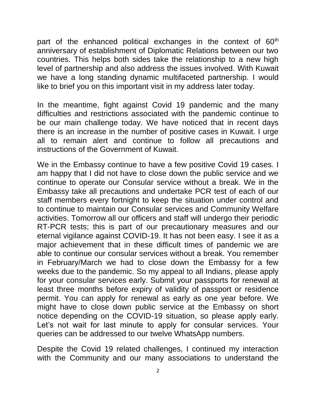part of the enhanced political exchanges in the context of  $60<sup>th</sup>$ anniversary of establishment of Diplomatic Relations between our two countries. This helps both sides take the relationship to a new high level of partnership and also address the issues involved. With Kuwait we have a long standing dynamic multifaceted partnership. I would like to brief you on this important visit in my address later today.

In the meantime, fight against Covid 19 pandemic and the many difficulties and restrictions associated with the pandemic continue to be our main challenge today. We have noticed that in recent days there is an increase in the number of positive cases in Kuwait. I urge all to remain alert and continue to follow all precautions and instructions of the Government of Kuwait.

We in the Embassy continue to have a few positive Covid 19 cases. I am happy that I did not have to close down the public service and we continue to operate our Consular service without a break. We in the Embassy take all precautions and undertake PCR test of each of our staff members every fortnight to keep the situation under control and to continue to maintain our Consular services and Community Welfare activities. Tomorrow all our officers and staff will undergo their periodic RT-PCR tests; this is part of our precautionary measures and our eternal vigilance against COVID-19. It has not been easy. I see it as a major achievement that in these difficult times of pandemic we are able to continue our consular services without a break. You remember in February/March we had to close down the Embassy for a few weeks due to the pandemic. So my appeal to all Indians, please apply for your consular services early. Submit your passports for renewal at least three months before expiry of validity of passport or residence permit. You can apply for renewal as early as one year before. We might have to close down public service at the Embassy on short notice depending on the COVID-19 situation, so please apply early. Let's not wait for last minute to apply for consular services. Your queries can be addressed to our twelve WhatsApp numbers.

Despite the Covid 19 related challenges, I continued my interaction with the Community and our many associations to understand the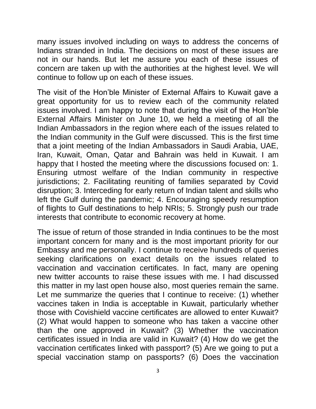many issues involved including on ways to address the concerns of Indians stranded in India. The decisions on most of these issues are not in our hands. But let me assure you each of these issues of concern are taken up with the authorities at the highest level. We will continue to follow up on each of these issues.

The visit of the Hon'ble Minister of External Affairs to Kuwait gave a great opportunity for us to review each of the community related issues involved. I am happy to note that during the visit of the Hon'ble External Affairs Minister on June 10, we held a meeting of all the Indian Ambassadors in the region where each of the issues related to the Indian community in the Gulf were discussed. This is the first time that a joint meeting of the Indian Ambassadors in Saudi Arabia, UAE, Iran, Kuwait, Oman, Qatar and Bahrain was held in Kuwait. I am happy that I hosted the meeting where the discussions focused on: 1. Ensuring utmost welfare of the Indian community in respective jurisdictions; 2. Facilitating reuniting of families separated by Covid disruption; 3. Interceding for early return of Indian talent and skills who left the Gulf during the pandemic; 4. Encouraging speedy resumption of flights to Gulf destinations to help NRIs; 5. Strongly push our trade interests that contribute to economic recovery at home.

The issue of return of those stranded in India continues to be the most important concern for many and is the most important priority for our Embassy and me personally. I continue to receive hundreds of queries seeking clarifications on exact details on the issues related to vaccination and vaccination certificates. In fact, many are opening new twitter accounts to raise these issues with me. I had discussed this matter in my last open house also, most queries remain the same. Let me summarize the queries that I continue to receive: (1) whether vaccines taken in India is acceptable in Kuwait, particularly whether those with Covishield vaccine certificates are allowed to enter Kuwait? (2) What would happen to someone who has taken a vaccine other than the one approved in Kuwait? (3) Whether the vaccination certificates issued in India are valid in Kuwait? (4) How do we get the vaccination certificates linked with passport? (5) Are we going to put a special vaccination stamp on passports? (6) Does the vaccination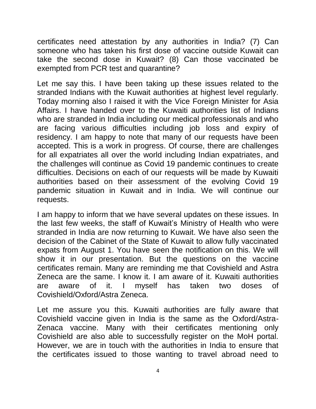certificates need attestation by any authorities in India? (7) Can someone who has taken his first dose of vaccine outside Kuwait can take the second dose in Kuwait? (8) Can those vaccinated be exempted from PCR test and quarantine?

Let me say this. I have been taking up these issues related to the stranded Indians with the Kuwait authorities at highest level regularly. Today morning also I raised it with the Vice Foreign Minister for Asia Affairs. I have handed over to the Kuwaiti authorities list of Indians who are stranded in India including our medical professionals and who are facing various difficulties including job loss and expiry of residency. I am happy to note that many of our requests have been accepted. This is a work in progress. Of course, there are challenges for all expatriates all over the world including Indian expatriates, and the challenges will continue as Covid 19 pandemic continues to create difficulties. Decisions on each of our requests will be made by Kuwaiti authorities based on their assessment of the evolving Covid 19 pandemic situation in Kuwait and in India. We will continue our requests.

I am happy to inform that we have several updates on these issues. In the last few weeks, the staff of Kuwait's Ministry of Health who were stranded in India are now returning to Kuwait. We have also seen the decision of the Cabinet of the State of Kuwait to allow fully vaccinated expats from August 1. You have seen the notification on this. We will show it in our presentation. But the questions on the vaccine certificates remain. Many are reminding me that Covishield and Astra Zeneca are the same. I know it. I am aware of it. Kuwaiti authorities are aware of it. I myself has taken two doses of Covishield/Oxford/Astra Zeneca.

Let me assure you this. Kuwaiti authorities are fully aware that Covishield vaccine given in India is the same as the Oxford/Astra-Zenaca vaccine. Many with their certificates mentioning only Covishield are also able to successfully register on the MoH portal. However, we are in touch with the authorities in India to ensure that the certificates issued to those wanting to travel abroad need to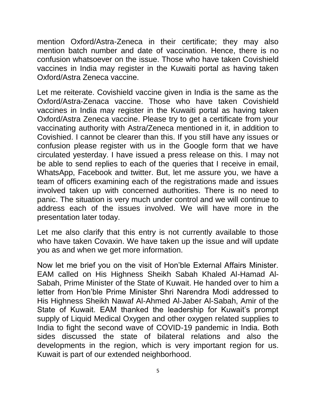mention Oxford/Astra-Zeneca in their certificate; they may also mention batch number and date of vaccination. Hence, there is no confusion whatsoever on the issue. Those who have taken Covishield vaccines in India may register in the Kuwaiti portal as having taken Oxford/Astra Zeneca vaccine.

Let me reiterate. Covishield vaccine given in India is the same as the Oxford/Astra-Zenaca vaccine. Those who have taken Covishield vaccines in India may register in the Kuwaiti portal as having taken Oxford/Astra Zeneca vaccine. Please try to get a certificate from your vaccinating authority with Astra/Zeneca mentioned in it, in addition to Covishied. I cannot be clearer than this. If you still have any issues or confusion please register with us in the Google form that we have circulated yesterday. I have issued a press release on this. I may not be able to send replies to each of the queries that I receive in email, WhatsApp, Facebook and twitter. But, let me assure you, we have a team of officers examining each of the registrations made and issues involved taken up with concerned authorities. There is no need to panic. The situation is very much under control and we will continue to address each of the issues involved. We will have more in the presentation later today.

Let me also clarify that this entry is not currently available to those who have taken Covaxin. We have taken up the issue and will update you as and when we get more information.

Now let me brief you on the visit of Hon'ble External Affairs Minister. EAM called on His Highness Sheikh Sabah Khaled Al-Hamad Al-Sabah, Prime Minister of the State of Kuwait. He handed over to him a letter from Hon'ble Prime Minister Shri Narendra Modi addressed to His Highness Sheikh Nawaf Al-Ahmed Al-Jaber Al-Sabah, Amir of the State of Kuwait. EAM thanked the leadership for Kuwait's prompt supply of Liquid Medical Oxygen and other oxygen related supplies to India to fight the second wave of COVID-19 pandemic in India. Both sides discussed the state of bilateral relations and also the developments in the region, which is very important region for us. Kuwait is part of our extended neighborhood.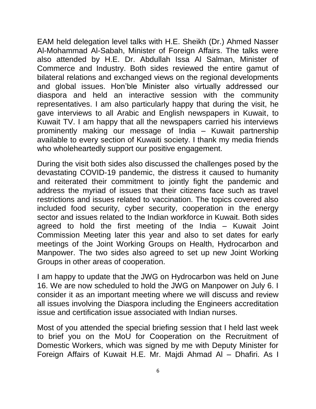EAM held delegation level talks with H.E. Sheikh (Dr.) Ahmed Nasser Al-Mohammad Al-Sabah, Minister of Foreign Affairs. The talks were also attended by H.E. Dr. Abdullah Issa Al Salman, Minister of Commerce and Industry. Both sides reviewed the entire gamut of bilateral relations and exchanged views on the regional developments and global issues. Hon'ble Minister also virtually addressed our diaspora and held an interactive session with the community representatives. I am also particularly happy that during the visit, he gave interviews to all Arabic and English newspapers in Kuwait, to Kuwait TV. I am happy that all the newspapers carried his interviews prominently making our message of India – Kuwait partnership available to every section of Kuwaiti society. I thank my media friends who wholeheartedly support our positive engagement.

During the visit both sides also discussed the challenges posed by the devastating COVID-19 pandemic, the distress it caused to humanity and reiterated their commitment to jointly fight the pandemic and address the myriad of issues that their citizens face such as travel restrictions and issues related to vaccination. The topics covered also included food security, cyber security, cooperation in the energy sector and issues related to the Indian workforce in Kuwait. Both sides agreed to hold the first meeting of the India – Kuwait Joint Commission Meeting later this year and also to set dates for early meetings of the Joint Working Groups on Health, Hydrocarbon and Manpower. The two sides also agreed to set up new Joint Working Groups in other areas of cooperation.

I am happy to update that the JWG on Hydrocarbon was held on June 16. We are now scheduled to hold the JWG on Manpower on July 6. I consider it as an important meeting where we will discuss and review all issues involving the Diaspora including the Engineers accreditation issue and certification issue associated with Indian nurses.

Most of you attended the special briefing session that I held last week to brief you on the MoU for Cooperation on the Recruitment of Domestic Workers, which was signed by me with Deputy Minister for Foreign Affairs of Kuwait H.E. Mr. Majdi Ahmad Al – Dhafiri. As I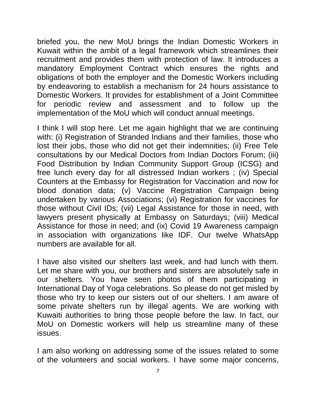briefed you, the new MoU brings the Indian Domestic Workers in Kuwait within the ambit of a legal framework which streamlines their recruitment and provides them with protection of law. It introduces a mandatory Employment Contract which ensures the rights and obligations of both the employer and the Domestic Workers including by endeavoring to establish a mechanism for 24 hours assistance to Domestic Workers. It provides for establishment of a Joint Committee for periodic review and assessment and to follow up the implementation of the MoU which will conduct annual meetings.

I think I will stop here. Let me again highlight that we are continuing with: (i) Registration of Stranded Indians and their families, those who lost their jobs, those who did not get their indemnities; (ii) Free Tele consultations by our Medical Doctors from Indian Doctors Forum; (iii) Food Distribution by Indian Community Support Group (ICSG) and free lunch every day for all distressed Indian workers ; (iv) Special Counters at the Embassy for Registration for Vaccination and now for blood donation data; (v) Vaccine Registration Campaign being undertaken by various Associations; (vi) Registration for vaccines for those without Civil IDs; (vii) Legal Assistance for those in need, with lawyers present physically at Embassy on Saturdays; (viii) Medical Assistance for those in need; and (ix) Covid 19 Awareness campaign in association with organizations like IDF. Our twelve WhatsApp numbers are available for all.

I have also visited our shelters last week, and had lunch with them. Let me share with you, our brothers and sisters are absolutely safe in our shelters. You have seen photos of them participating in International Day of Yoga celebrations. So please do not get misled by those who try to keep our sisters out of our shelters. I am aware of some private shelters run by illegal agents. We are working with Kuwaiti authorities to bring those people before the law. In fact, our MoU on Domestic workers will help us streamline many of these issues.

I am also working on addressing some of the issues related to some of the volunteers and social workers. I have some major concerns,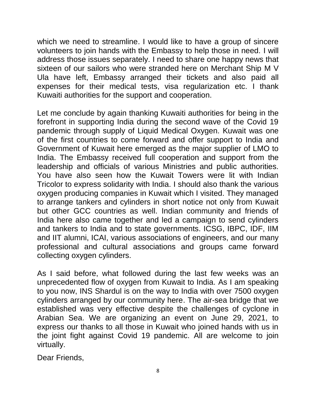which we need to streamline. I would like to have a group of sincere volunteers to join hands with the Embassy to help those in need. I will address those issues separately. I need to share one happy news that sixteen of our sailors who were stranded here on Merchant Ship M V Ula have left, Embassy arranged their tickets and also paid all expenses for their medical tests, visa regularization etc. I thank Kuwaiti authorities for the support and cooperation.

Let me conclude by again thanking Kuwaiti authorities for being in the forefront in supporting India during the second wave of the Covid 19 pandemic through supply of Liquid Medical Oxygen. Kuwait was one of the first countries to come forward and offer support to India and Government of Kuwait here emerged as the major supplier of LMO to India. The Embassy received full cooperation and support from the leadership and officials of various Ministries and public authorities. You have also seen how the Kuwait Towers were lit with Indian Tricolor to express solidarity with India. I should also thank the various oxygen producing companies in Kuwait which I visited. They managed to arrange tankers and cylinders in short notice not only from Kuwait but other GCC countries as well. Indian community and friends of India here also came together and led a campaign to send cylinders and tankers to India and to state governments. ICSG, IBPC, IDF, IIM and IIT alumni, ICAI, various associations of engineers, and our many professional and cultural associations and groups came forward collecting oxygen cylinders.

As I said before, what followed during the last few weeks was an unprecedented flow of oxygen from Kuwait to India. As I am speaking to you now, INS Shardul is on the way to India with over 7500 oxygen cylinders arranged by our community here. The air-sea bridge that we established was very effective despite the challenges of cyclone in Arabian Sea. We are organizing an event on June 29, 2021, to express our thanks to all those in Kuwait who joined hands with us in the joint fight against Covid 19 pandemic. All are welcome to join virtually.

Dear Friends,